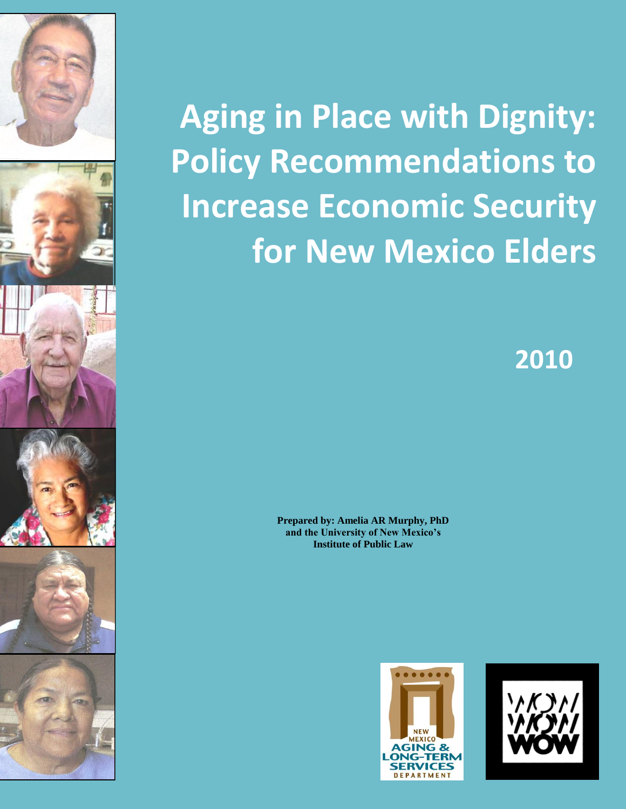

# **Aging in Place with Dignity: Policy Recommendations to Increase Economic Security for New Mexico Elders**

**2010**

**Prepared by: Amelia AR Murphy, PhD and the University of New Mexico's Institute of Public Law**



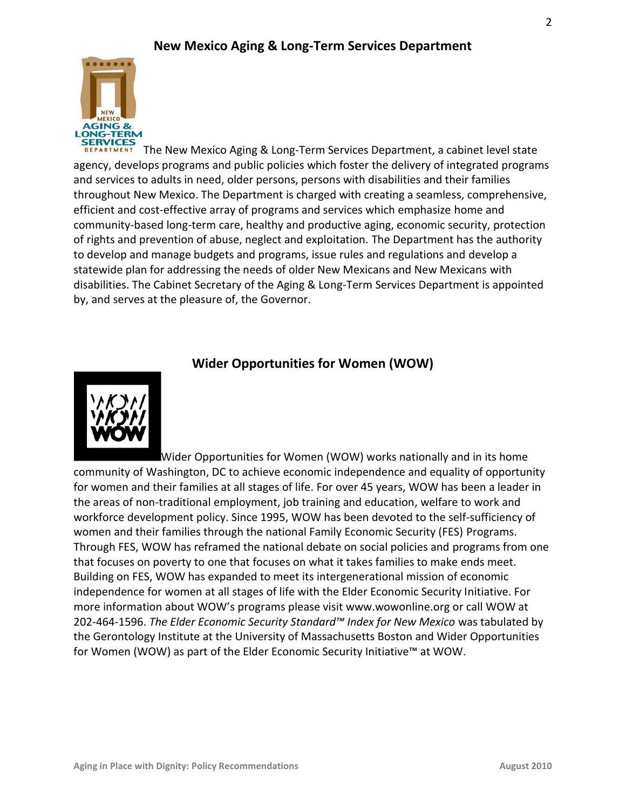

The New Mexico Aging & Long-Term Services Department, a cabinet level state agency, develops programs and public policies which foster the delivery of integrated programs and services to adults in need, older persons, persons with disabilities and their families throughout New Mexico. The Department is charged with creating a seamless, comprehensive, efficient and cost-effective array of programs and services which emphasize home and community-based long-term care, healthy and productive aging, economic security, protection of rights and prevention of abuse, neglect and exploitation. The Department has the authority to develop and manage budgets and programs, issue rules and regulations and develop a statewide plan for addressing the needs of older New Mexicans and New Mexicans with disabilities. The Cabinet Secretary of the Aging & Long-Term Services Department is appointed by, and serves at the pleasure of, the Governor.

# **Wider Opportunities for Women (WOW)**



Wider Opportunities for Women (WOW) works nationally and in its home community of Washington, DC to achieve economic independence and equality of opportunity for women and their families at all stages of life. For over 45 years, WOW has been a leader in the areas of non-traditional employment, job training and education, welfare to work and workforce development policy. Since 1995, WOW has been devoted to the self-sufficiency of women and their families through the national Family Economic Security (FES) Programs. Through FES, WOW has reframed the national debate on social policies and programs from one that focuses on poverty to one that focuses on what it takes families to make ends meet. Building on FES, WOW has expanded to meet its intergenerational mission of economic independence for women at all stages of life with the Elder Economic Security Initiative. For more information about WOW's programs please visit www.wowonline.org or call WOW at 202-464-1596. *The Elder Economic Security Standard™ Index for New Mexico* was tabulated by the Gerontology Institute at the University of Massachusetts Boston and Wider Opportunities for Women (WOW) as part of the Elder Economic Security Initiative™ at WOW.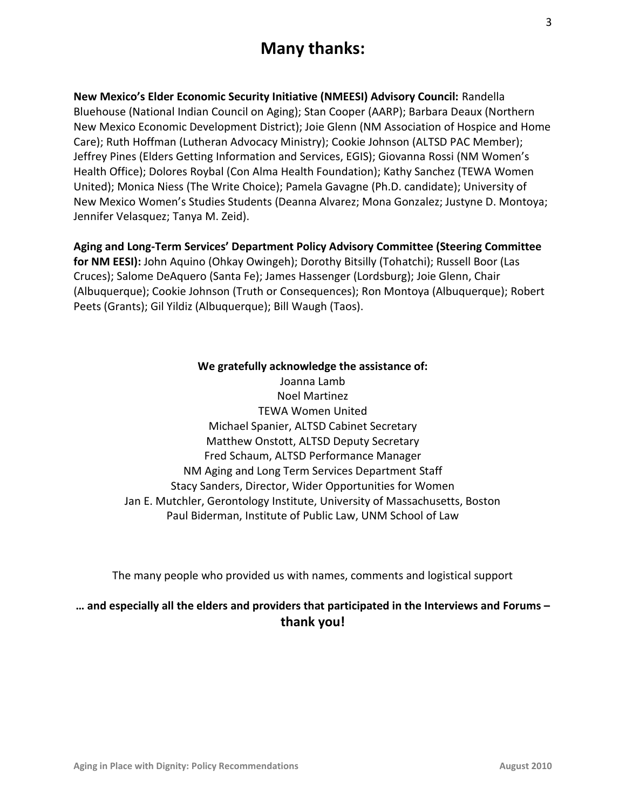# **Many thanks:**

**New Mexico's Elder Economic Security Initiative (NMEESI) Advisory Council:** Randella Bluehouse (National Indian Council on Aging); Stan Cooper (AARP); Barbara Deaux (Northern New Mexico Economic Development District); Joie Glenn (NM Association of Hospice and Home Care); Ruth Hoffman (Lutheran Advocacy Ministry); Cookie Johnson (ALTSD PAC Member); Jeffrey Pines (Elders Getting Information and Services, EGIS); Giovanna Rossi (NM Women's Health Office); Dolores Roybal (Con Alma Health Foundation); Kathy Sanchez (TEWA Women United); Monica Niess (The Write Choice); Pamela Gavagne (Ph.D. candidate); University of New Mexico Women's Studies Students (Deanna Alvarez; Mona Gonzalez; Justyne D. Montoya; Jennifer Velasquez; Tanya M. Zeid).

**Aging and Long-Term Services' Department Policy Advisory Committee (Steering Committee for NM EESI):** John Aquino (Ohkay Owingeh); Dorothy Bitsilly (Tohatchi); Russell Boor (Las Cruces); Salome DeAquero (Santa Fe); James Hassenger (Lordsburg); Joie Glenn, Chair (Albuquerque); Cookie Johnson (Truth or Consequences); Ron Montoya (Albuquerque); Robert Peets (Grants); Gil Yildiz (Albuquerque); Bill Waugh (Taos).

### **We gratefully acknowledge the assistance of:**

Joanna Lamb Noel Martinez TEWA Women United Michael Spanier, ALTSD Cabinet Secretary Matthew Onstott, ALTSD Deputy Secretary Fred Schaum, ALTSD Performance Manager NM Aging and Long Term Services Department Staff Stacy Sanders, Director, Wider Opportunities for Women Jan E. Mutchler, Gerontology Institute, University of Massachusetts, Boston Paul Biderman, Institute of Public Law, UNM School of Law

The many people who provided us with names, comments and logistical support

### **… and especially all the elders and providers that participated in the Interviews and Forums – thank you!**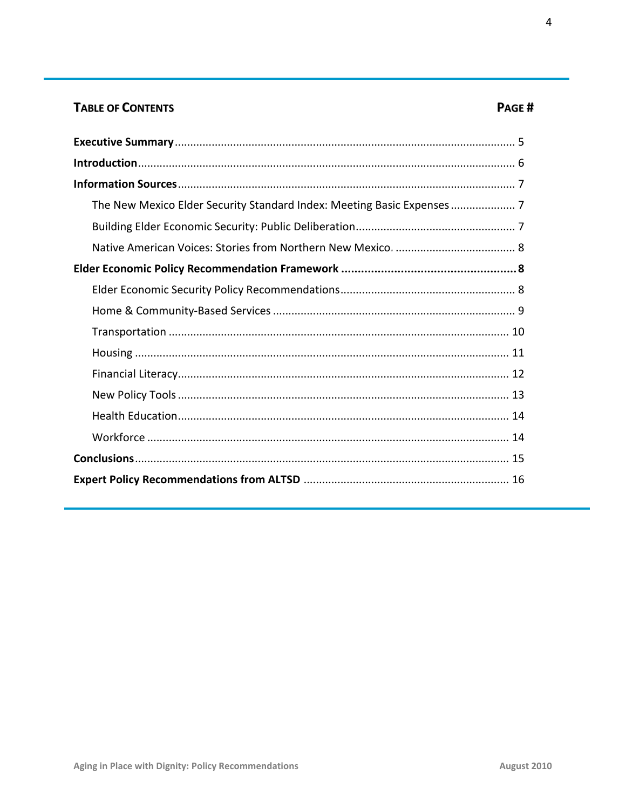# **TABLE OF CONTENTS**

| The New Mexico Elder Security Standard Index: Meeting Basic Expenses 7 |
|------------------------------------------------------------------------|
|                                                                        |
|                                                                        |
|                                                                        |
|                                                                        |
|                                                                        |
|                                                                        |
|                                                                        |
|                                                                        |
|                                                                        |
|                                                                        |
|                                                                        |
|                                                                        |
|                                                                        |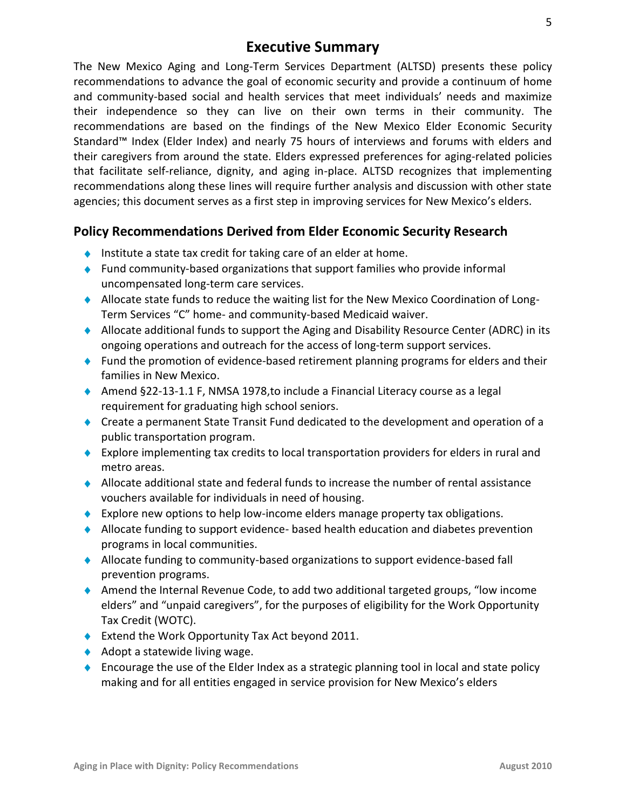# **Executive Summary**

The New Mexico Aging and Long-Term Services Department (ALTSD) presents these policy recommendations to advance the goal of economic security and provide a continuum of home and community-based social and health services that meet individuals' needs and maximize their independence so they can live on their own terms in their community*.* The recommendations are based on the findings of the New Mexico Elder Economic Security Standard™ Index (Elder Index) and nearly 75 hours of interviews and forums with elders and their caregivers from around the state. Elders expressed preferences for aging-related policies that facilitate self-reliance, dignity, and aging in-place. ALTSD recognizes that implementing recommendations along these lines will require further analysis and discussion with other state agencies; this document serves as a first step in improving services for New Mexico's elders.

# **Policy Recommendations Derived from Elder Economic Security Research**

- Institute a state tax credit for taking care of an elder at home.
- Fund community-based organizations that support families who provide informal uncompensated long-term care services.
- Allocate state funds to reduce the waiting list for the New Mexico Coordination of Long-Term Services "C" home- and community-based Medicaid waiver.
- Allocate additional funds to support the Aging and Disability Resource Center (ADRC) in its ongoing operations and outreach for the access of long-term support services.
- $\bullet$  Fund the promotion of evidence-based retirement planning programs for elders and their families in New Mexico.
- ◆ Amend §22-13-1.1 F, NMSA 1978,to include a Financial Literacy course as a legal requirement for graduating high school seniors.
- Create a permanent State Transit Fund dedicated to the development and operation of a public transportation program.
- Explore implementing tax credits to local transportation providers for elders in rural and metro areas.
- $\blacklozenge$  Allocate additional state and federal funds to increase the number of rental assistance vouchers available for individuals in need of housing.
- $\bullet$  Explore new options to help low-income elders manage property tax obligations.
- $\blacklozenge$  Allocate funding to support evidence- based health education and diabetes prevention programs in local communities.
- Allocate funding to community-based organizations to support evidence-based fall prevention programs.
- Amend the Internal Revenue Code, to add two additional targeted groups, "low income elders" and "unpaid caregivers", for the purposes of eligibility for the Work Opportunity Tax Credit (WOTC).
- ◆ Extend the Work Opportunity Tax Act beyond 2011.
- $\triangle$  Adopt a statewide living wage.
- $\bullet$  Encourage the use of the Elder Index as a strategic planning tool in local and state policy making and for all entities engaged in service provision for New Mexico's elders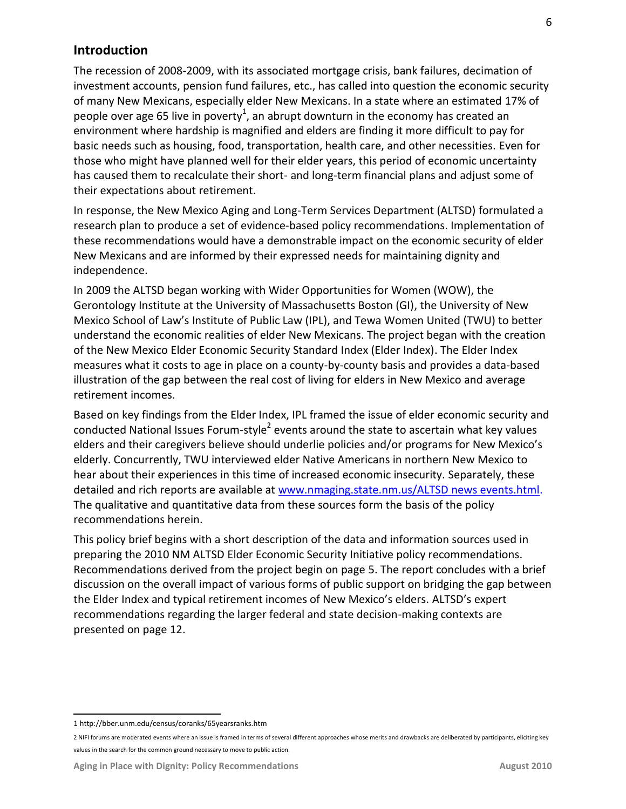### **Introduction**

The recession of 2008-2009, with its associated mortgage crisis, bank failures, decimation of investment accounts, pension fund failures, etc., has called into question the economic security of many New Mexicans, especially elder New Mexicans. In a state where an estimated 17% of people over age 65 live in poverty<sup>1</sup>, an abrupt downturn in the economy has created an environment where hardship is magnified and elders are finding it more difficult to pay for basic needs such as housing, food, transportation, health care, and other necessities. Even for those who might have planned well for their elder years, this period of economic uncertainty has caused them to recalculate their short- and long-term financial plans and adjust some of their expectations about retirement.

In response, the New Mexico Aging and Long-Term Services Department (ALTSD) formulated a research plan to produce a set of evidence-based policy recommendations. Implementation of these recommendations would have a demonstrable impact on the economic security of elder New Mexicans and are informed by their expressed needs for maintaining dignity and independence.

In 2009 the ALTSD began working with Wider Opportunities for Women (WOW), the Gerontology Institute at the University of Massachusetts Boston (GI), the University of New Mexico School of Law's Institute of Public Law (IPL), and Tewa Women United (TWU) to better understand the economic realities of elder New Mexicans. The project began with the creation of the New Mexico Elder Economic Security Standard Index (Elder Index). The Elder Index measures what it costs to age in place on a county-by-county basis and provides a data-based illustration of the gap between the real cost of living for elders in New Mexico and average retirement incomes.

Based on key findings from the Elder Index, IPL framed the issue of elder economic security and conducted National Issues Forum-style<sup>2</sup> events around the state to ascertain what key values elders and their caregivers believe should underlie policies and/or programs for New Mexico's elderly. Concurrently, TWU interviewed elder Native Americans in northern New Mexico to hear about their experiences in this time of increased economic insecurity. Separately, these detailed and rich reports are available at [www.nmaging.state.nm.us/ALTSD](http://www.nmaging.state.nm.us/ALTSD) news events.html. The qualitative and quantitative data from these sources form the basis of the policy recommendations herein.

This policy brief begins with a short description of the data and information sources used in preparing the 2010 NM ALTSD Elder Economic Security Initiative policy recommendations. Recommendations derived from the project begin on page 5. The report concludes with a brief discussion on the overall impact of various forms of public support on bridging the gap between the Elder Index and typical retirement incomes of New Mexico's elders. ALTSD's expert recommendations regarding the larger federal and state decision-making contexts are presented on page 12.

 $\overline{a}$ 1 http://bber.unm.edu/census/coranks/65yearsranks.htm

<sup>2</sup> NIFI forums are moderated events where an issue is framed in terms of several different approaches whose merits and drawbacks are deliberated by participants, eliciting key values in the search for the common ground necessary to move to public action.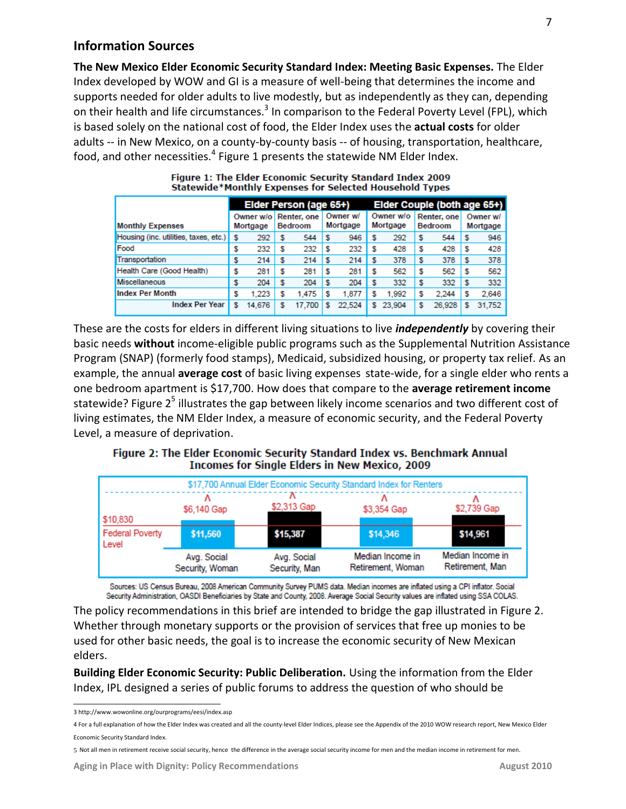### **Information Sources**

**The New Mexico Elder Economic Security Standard Index: Meeting Basic Expenses.** The Elder Index developed by WOW and GI is a measure of well-being that determines the income and supports needed for older adults to live modestly, but as independently as they can, depending on their health and life circumstances.<sup>3</sup> In comparison to the Federal Poverty Level (FPL), which is based solely on the national cost of food, the Elder Index uses the **actual costs** for older adults -- in New Mexico, on a county-by-county basis -- of housing, transportation, healthcare, food, and other necessities.<sup>4</sup> Figure 1 presents the statewide NM Elder Index.

|                                            | Elder Person (age 65+) |                       |   |                               | Elder Couple (both age 65+) |    |                       |   |                               |   |                      |
|--------------------------------------------|------------------------|-----------------------|---|-------------------------------|-----------------------------|----|-----------------------|---|-------------------------------|---|----------------------|
| <b>Monthly Expenses</b>                    |                        | Owner w/o<br>Mortgage |   | Renter, one<br><b>Bedroom</b> | Owner w/<br>Mortgage        |    | Owner w/o<br>Mortgage |   | Renter, one<br><b>Bedroom</b> |   | Owner w/<br>Mortgage |
| Housing (inc. utilities, taxes, etc.)   \$ |                        | 292                   | S | 544                           | 946                         |    | 292                   | s | 544                           |   | 946                  |
| Food                                       |                        | 232                   | S | 232                           | 232                         |    | 428                   | S | 428                           |   | 428                  |
| Transportation                             |                        | 214                   |   | 214                           | 214                         |    | 378                   |   | 378                           |   | 378                  |
| Health Care (Good Health)                  |                        | 281                   | S | 281                           | 281                         |    | 562                   | S | 562                           |   | 562                  |
| Miscellaneous                              |                        | 204                   | S | 204                           | 204                         |    | 332                   | S | 332                           |   | 332                  |
| <b>Index Per Month</b>                     |                        | 1.223                 | S | 1.475                         | 1,877                       |    | 1.992                 | s | 2.244                         |   | 2.646                |
| <b>Index Per Year</b>                      | s                      | 14,676                | S | 17.700                        | 22.524                      | s. | 23,904                | S | 26,928                        | s | 31,752               |

| Figure 1: The Elder Economic Security Standard Index 2009 |  |  |
|-----------------------------------------------------------|--|--|
| Statewide*Monthly Expenses for Selected Household Types   |  |  |

These are the costs for elders in different living situations to live *independently* by covering their basic needs **without** income-eligible public programs such as the Supplemental Nutrition Assistance Program (SNAP) (formerly food stamps), Medicaid, subsidized housing, or property tax relief. As an example, the annual **average cost** of basic living expenses state-wide, for a single elder who rents a one bedroom apartment is \$17,700. How does that compare to the **average retirement income** statewide? Figure 2<sup>5</sup> illustrates the gap between likely income scenarios and two different cost of living estimates, the NM Elder Index, a measure of economic security, and the Federal Poverty Level, a measure of deprivation.



| \$17,700 Annual Elder Economic Security Standard Index for Renters |                                |                              |                                       |                                     |  |  |  |  |
|--------------------------------------------------------------------|--------------------------------|------------------------------|---------------------------------------|-------------------------------------|--|--|--|--|
| \$10,830                                                           | \$6,140 Gap                    | \$2,313 Gap                  | \$3,354 Gap                           | \$2,739 Gap                         |  |  |  |  |
| <b>Federal Poverty</b><br>Level                                    | \$11,560                       | \$15,387                     | \$14,346                              | \$14,961                            |  |  |  |  |
|                                                                    | Avg. Social<br>Security, Woman | Avg. Social<br>Security, Man | Median Income in<br>Retirement, Woman | Median Income in<br>Retirement, Man |  |  |  |  |

Sources: US Census Bureau, 2008 American Community Survey PUMS data. Median incomes are inflated using a CPI inflator. Social Security Administration, OASDI Beneficiaries by State and County, 2008. Average Social Security values are inflated using SSA COLAS.

The policy recommendations in this brief are intended to bridge the gap illustrated in Figure 2. Whether through monetary supports or the provision of services that free up monies to be used for other basic needs, the goal is to increase the economic security of New Mexican elders.

**Building Elder Economic Security: Public Deliberation.** Using the information from the Elder Index, IPL designed a series of public forums to address the question of who should be

 $\overline{a}$ 3 http://www.wowonline.org/ourprograms/eesi/index.asp

<sup>4</sup> For a full explanation of how the Elder Index was created and all the county-level Elder Indices, please see the Appendix of the 2010 WOW research report, New Mexico Elder Economic Security Standard Index.

<sup>5</sup> Not all men in retirement receive social security, hence the difference in the average social security income for men and the median income in retirement for men.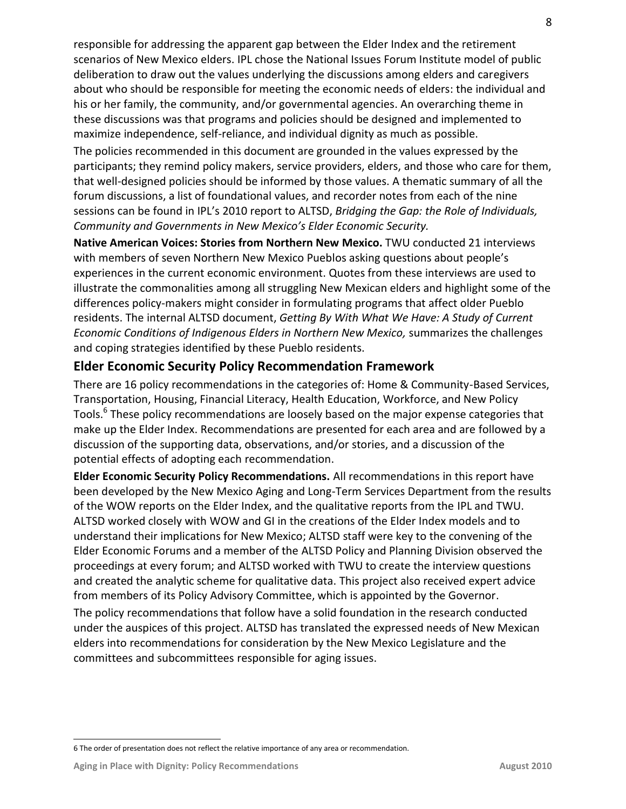responsible for addressing the apparent gap between the Elder Index and the retirement scenarios of New Mexico elders. IPL chose the National Issues Forum Institute model of public deliberation to draw out the values underlying the discussions among elders and caregivers about who should be responsible for meeting the economic needs of elders: the individual and his or her family, the community, and/or governmental agencies. An overarching theme in these discussions was that programs and policies should be designed and implemented to maximize independence, self-reliance, and individual dignity as much as possible.

The policies recommended in this document are grounded in the values expressed by the participants; they remind policy makers, service providers, elders, and those who care for them, that well-designed policies should be informed by those values. A thematic summary of all the forum discussions, a list of foundational values, and recorder notes from each of the nine sessions can be found in IPL's 2010 report to ALTSD, *Bridging the Gap: the Role of Individuals, Community and Governments in New Mexico's Elder Economic Security.* 

**Native American Voices: Stories from Northern New Mexico.** TWU conducted 21 interviews with members of seven Northern New Mexico Pueblos asking questions about people's experiences in the current economic environment. Quotes from these interviews are used to illustrate the commonalities among all struggling New Mexican elders and highlight some of the differences policy-makers might consider in formulating programs that affect older Pueblo residents. The internal ALTSD document, *Getting By With What We Have: A Study of Current Economic Conditions of Indigenous Elders in Northern New Mexico,* summarizes the challenges and coping strategies identified by these Pueblo residents.

### **Elder Economic Security Policy Recommendation Framework**

There are 16 policy recommendations in the categories of: Home & Community-Based Services, Transportation, Housing, Financial Literacy, Health Education, Workforce, and New Policy Tools.<sup>6</sup> These policy recommendations are loosely based on the major expense categories that make up the Elder Index. Recommendations are presented for each area and are followed by a discussion of the supporting data, observations, and/or stories, and a discussion of the potential effects of adopting each recommendation.

**Elder Economic Security Policy Recommendations.** All recommendations in this report have been developed by the New Mexico Aging and Long-Term Services Department from the results of the WOW reports on the Elder Index, and the qualitative reports from the IPL and TWU. ALTSD worked closely with WOW and GI in the creations of the Elder Index models and to understand their implications for New Mexico; ALTSD staff were key to the convening of the Elder Economic Forums and a member of the ALTSD Policy and Planning Division observed the proceedings at every forum; and ALTSD worked with TWU to create the interview questions and created the analytic scheme for qualitative data. This project also received expert advice from members of its Policy Advisory Committee, which is appointed by the Governor.

The policy recommendations that follow have a solid foundation in the research conducted under the auspices of this project. ALTSD has translated the expressed needs of New Mexican elders into recommendations for consideration by the New Mexico Legislature and the committees and subcommittees responsible for aging issues.

 $\overline{a}$ 6 The order of presentation does not reflect the relative importance of any area or recommendation.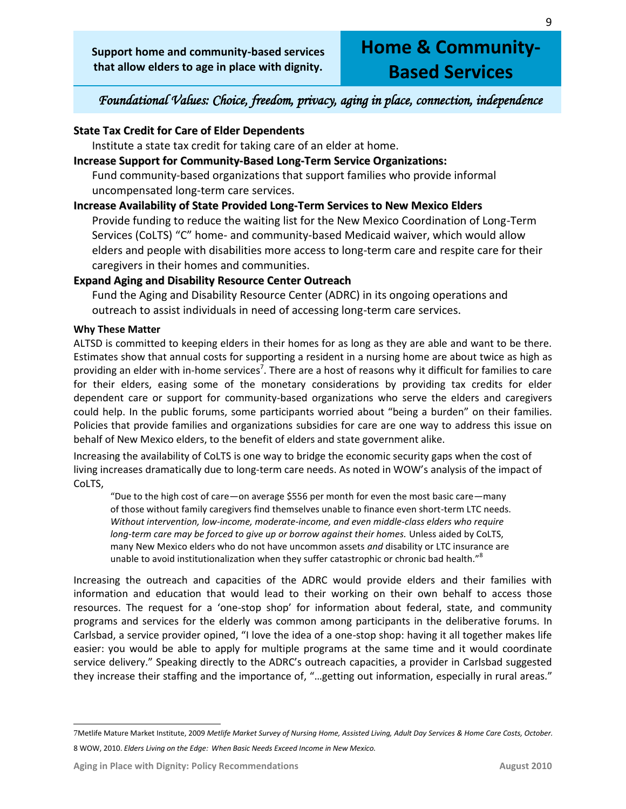# **Home & Community-Based Services**

# *Foundational Values: Choice, freedom, privacy, aging in place, connection, independence*

### **State Tax Credit for Care of Elder Dependents**

Institute a state tax credit for taking care of an elder at home.

### **Increase Support for Community-Based Long-Term Service Organizations:**

Fund community-based organizations that support families who provide informal uncompensated long-term care services.

### **Increase Availability of State Provided Long-Term Services to New Mexico Elders**

Provide funding to reduce the waiting list for the New Mexico Coordination of Long-Term Services (CoLTS) "C" home- and community-based Medicaid waiver, which would allow elders and people with disabilities more access to long-term care and respite care for their caregivers in their homes and communities.

### **Expand Aging and Disability Resource Center Outreach**

Fund the Aging and Disability Resource Center (ADRC) in its ongoing operations and outreach to assist individuals in need of accessing long-term care services.

### **Why These Matter**

ALTSD is committed to keeping elders in their homes for as long as they are able and want to be there. Estimates show that annual costs for supporting a resident in a nursing home are about twice as high as providing an elder with in-home services<sup>7</sup>. There are a host of reasons why it difficult for families to care for their elders, easing some of the monetary considerations by providing tax credits for elder dependent care or support for community-based organizations who serve the elders and caregivers could help. In the public forums, some participants worried about "being a burden" on their families. Policies that provide families and organizations subsidies for care are one way to address this issue on behalf of New Mexico elders, to the benefit of elders and state government alike.

Increasing the availability of CoLTS is one way to bridge the economic security gaps when the cost of living increases dramatically due to long-term care needs. As noted in WOW's analysis of the impact of CoLTS,

"Due to the high cost of care—on average \$556 per month for even the most basic care—many of those without family caregivers find themselves unable to finance even short-term LTC needs. *Without intervention, low-income, moderate-income, and even middle-class elders who require long-term care may be forced to give up or borrow against their homes.* Unless aided by CoLTS, many New Mexico elders who do not have uncommon assets *and* disability or LTC insurance are unable to avoid institutionalization when they suffer catastrophic or chronic bad health."<sup>8</sup>

Increasing the outreach and capacities of the ADRC would provide elders and their families with information and education that would lead to their working on their own behalf to access those resources. The request for a 'one-stop shop' for information about federal, state, and community programs and services for the elderly was common among participants in the deliberative forums. In Carlsbad, a service provider opined, "I love the idea of a one-stop shop: having it all together makes life easier: you would be able to apply for multiple programs at the same time and it would coordinate service delivery." Speaking directly to the ADRC's outreach capacities, a provider in Carlsbad suggested they increase their staffing and the importance of, "…getting out information, especially in rural areas."

 $\overline{a}$ 7Metlife Mature Market Institute, 2009 *Metlife Market Survey of Nursing Home, Assisted Living, Adult Day Services & Home Care Costs, October.* 8 WOW, 2010. *Elders Living on the Edge: When Basic Needs Exceed Income in New Mexico.*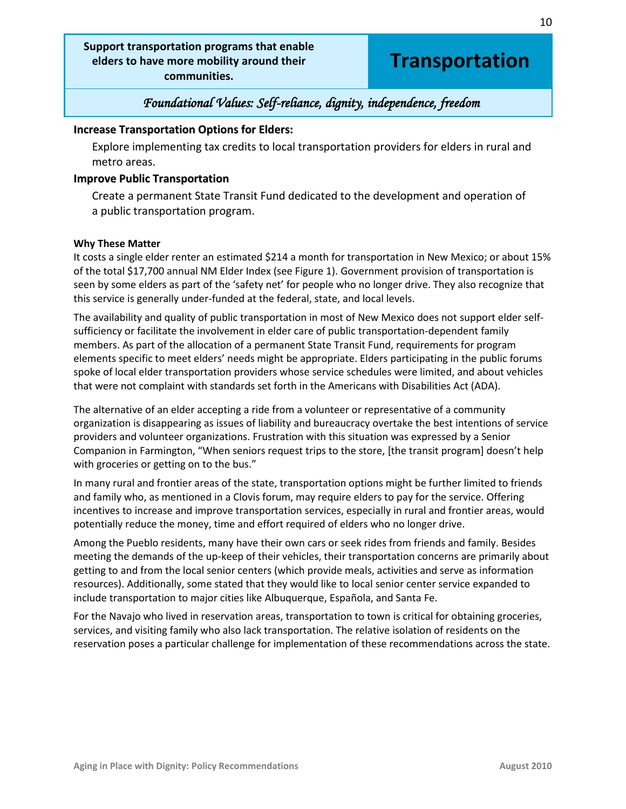### **Support transportation programs that enable elders to have more mobility around their communities.**

# **Transportation**

10

# *Foundational Values: Self-reliance, dignity, independence, freedom*

### **Increase Transportation Options for Elders:**

Explore implementing tax credits to local transportation providers for elders in rural and metro areas.

#### **Improve Public Transportation**

Create a permanent State Transit Fund dedicated to the development and operation of a public transportation program.

#### **Why These Matter**

It costs a single elder renter an estimated \$214 a month for transportation in New Mexico; or about 15% of the total \$17,700 annual NM Elder Index (see Figure 1). Government provision of transportation is seen by some elders as part of the 'safety net' for people who no longer drive. They also recognize that this service is generally under-funded at the federal, state, and local levels.

The availability and quality of public transportation in most of New Mexico does not support elder selfsufficiency or facilitate the involvement in elder care of public transportation-dependent family members. As part of the allocation of a permanent State Transit Fund, requirements for program elements specific to meet elders' needs might be appropriate. Elders participating in the public forums spoke of local elder transportation providers whose service schedules were limited, and about vehicles that were not complaint with standards set forth in the Americans with Disabilities Act (ADA).

The alternative of an elder accepting a ride from a volunteer or representative of a community organization is disappearing as issues of liability and bureaucracy overtake the best intentions of service providers and volunteer organizations. Frustration with this situation was expressed by a Senior Companion in Farmington, "When seniors request trips to the store, [the transit program] doesn't help with groceries or getting on to the bus."

In many rural and frontier areas of the state, transportation options might be further limited to friends and family who, as mentioned in a Clovis forum, may require elders to pay for the service. Offering incentives to increase and improve transportation services, especially in rural and frontier areas, would potentially reduce the money, time and effort required of elders who no longer drive.

Among the Pueblo residents, many have their own cars or seek rides from friends and family. Besides meeting the demands of the up-keep of their vehicles, their transportation concerns are primarily about getting to and from the local senior centers (which provide meals, activities and serve as information resources). Additionally, some stated that they would like to local senior center service expanded to include transportation to major cities like Albuquerque, Española, and Santa Fe.

For the Navajo who lived in reservation areas, transportation to town is critical for obtaining groceries, services, and visiting family who also lack transportation. The relative isolation of residents on the reservation poses a particular challenge for implementation of these recommendations across the state.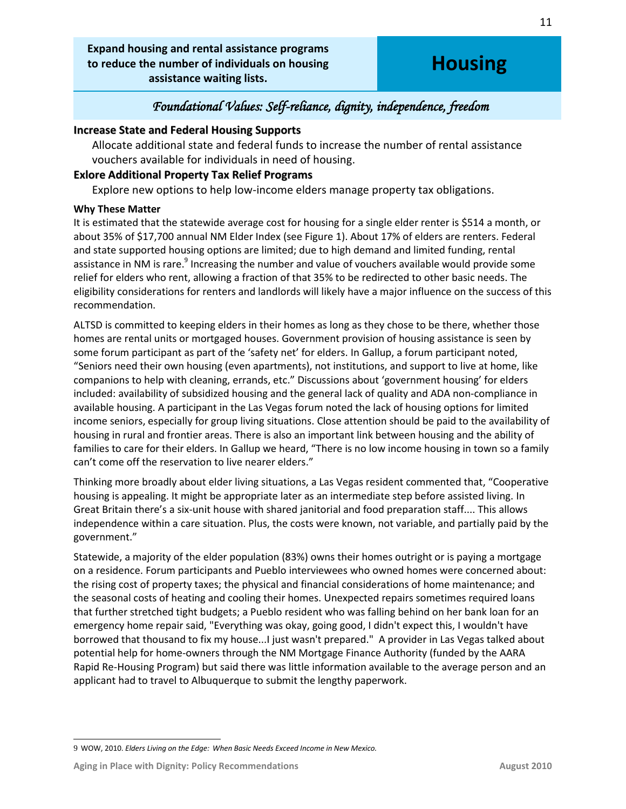**Expand housing and rental assistance programs to reduce the number of individuals on housing assistance waiting lists.**

# **Housing**

### *Foundational Values: Self-reliance, dignity, independence, freedom*

### **Increase State and Federal Housing Supports**

Allocate additional state and federal funds to increase the number of rental assistance vouchers available for individuals in need of housing.

### **Exlore Additional Property Tax Relief Programs**

Explore new options to help low-income elders manage property tax obligations.

### **Why These Matter**

It is estimated that the statewide average cost for housing for a single elder renter is \$514 a month, or about 35% of \$17,700 annual NM Elder Index (see Figure 1). About 17% of elders are renters. Federal and state supported housing options are limited; due to high demand and limited funding, rental assistance in NM is rare.<sup>9</sup> Increasing the number and value of vouchers available would provide some relief for elders who rent, allowing a fraction of that 35% to be redirected to other basic needs. The eligibility considerations for renters and landlords will likely have a major influence on the success of this recommendation.

ALTSD is committed to keeping elders in their homes as long as they chose to be there, whether those homes are rental units or mortgaged houses. Government provision of housing assistance is seen by some forum participant as part of the 'safety net' for elders. In Gallup, a forum participant noted, "Seniors need their own housing (even apartments), not institutions, and support to live at home, like companions to help with cleaning, errands, etc." Discussions about 'government housing' for elders included: availability of subsidized housing and the general lack of quality and ADA non-compliance in available housing. A participant in the Las Vegas forum noted the lack of housing options for limited income seniors, especially for group living situations. Close attention should be paid to the availability of housing in rural and frontier areas. There is also an important link between housing and the ability of families to care for their elders. In Gallup we heard, "There is no low income housing in town so a family can't come off the reservation to live nearer elders."

Thinking more broadly about elder living situations, a Las Vegas resident commented that, "Cooperative housing is appealing. It might be appropriate later as an intermediate step before assisted living. In Great Britain there's a six-unit house with shared janitorial and food preparation staff.... This allows independence within a care situation. Plus, the costs were known, not variable, and partially paid by the government."

Statewide, a majority of the elder population (83%) owns their homes outright or is paying a mortgage on a residence. Forum participants and Pueblo interviewees who owned homes were concerned about: the rising cost of property taxes; the physical and financial considerations of home maintenance; and the seasonal costs of heating and cooling their homes. Unexpected repairs sometimes required loans that further stretched tight budgets; a Pueblo resident who was falling behind on her bank loan for an emergency home repair said, "Everything was okay, going good, I didn't expect this, I wouldn't have borrowed that thousand to fix my house...I just wasn't prepared." A provider in Las Vegas talked about potential help for home-owners through the NM Mortgage Finance Authority (funded by the AARA Rapid Re-Housing Program) but said there was little information available to the average person and an applicant had to travel to Albuquerque to submit the lengthy paperwork.

 $\overline{a}$ 9 WOW, 2010. *Elders Living on the Edge: When Basic Needs Exceed Income in New Mexico.*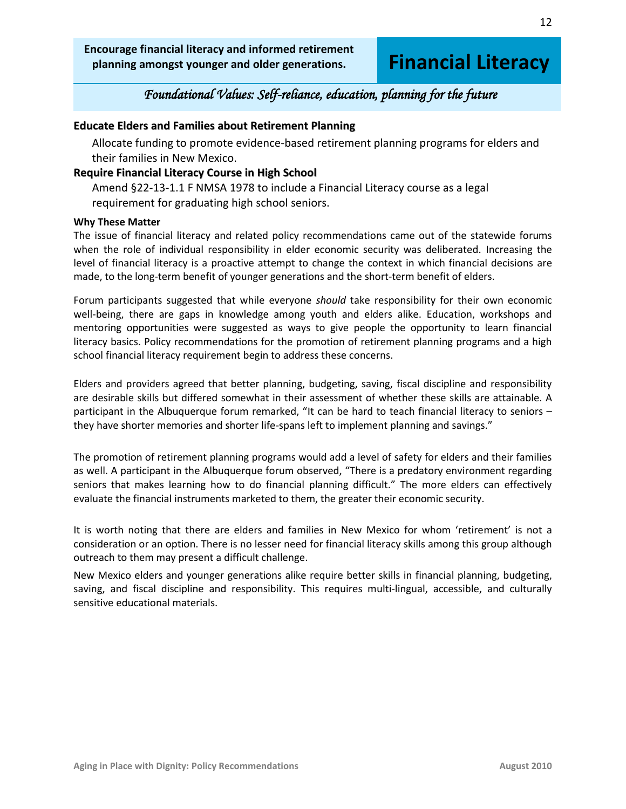**Encourage financial literacy and informed retirement planning amongst younger and older generations.**

# **Financial Literacy**

### *Foundational Values: Self-reliance, education, planning for the future*

### **Educate Elders and Families about Retirement Planning**

Allocate funding to promote evidence-based retirement planning programs for elders and their families in New Mexico.

#### **Require Financial Literacy Course in High School**

Amend §22-13-1.1 F NMSA 1978 to include a Financial Literacy course as a legal requirement for graduating high school seniors.

#### **Why These Matter**

The issue of financial literacy and related policy recommendations came out of the statewide forums when the role of individual responsibility in elder economic security was deliberated. Increasing the level of financial literacy is a proactive attempt to change the context in which financial decisions are made, to the long-term benefit of younger generations and the short-term benefit of elders.

Forum participants suggested that while everyone *should* take responsibility for their own economic well-being, there are gaps in knowledge among youth and elders alike. Education, workshops and mentoring opportunities were suggested as ways to give people the opportunity to learn financial literacy basics. Policy recommendations for the promotion of retirement planning programs and a high school financial literacy requirement begin to address these concerns.

Elders and providers agreed that better planning, budgeting, saving, fiscal discipline and responsibility are desirable skills but differed somewhat in their assessment of whether these skills are attainable. A participant in the Albuquerque forum remarked, "It can be hard to teach financial literacy to seniors – they have shorter memories and shorter life-spans left to implement planning and savings."

The promotion of retirement planning programs would add a level of safety for elders and their families as well. A participant in the Albuquerque forum observed, "There is a predatory environment regarding seniors that makes learning how to do financial planning difficult." The more elders can effectively evaluate the financial instruments marketed to them, the greater their economic security.

It is worth noting that there are elders and families in New Mexico for whom 'retirement' is not a consideration or an option. There is no lesser need for financial literacy skills among this group although outreach to them may present a difficult challenge.

New Mexico elders and younger generations alike require better skills in financial planning, budgeting, saving, and fiscal discipline and responsibility. This requires multi-lingual, accessible, and culturally sensitive educational materials.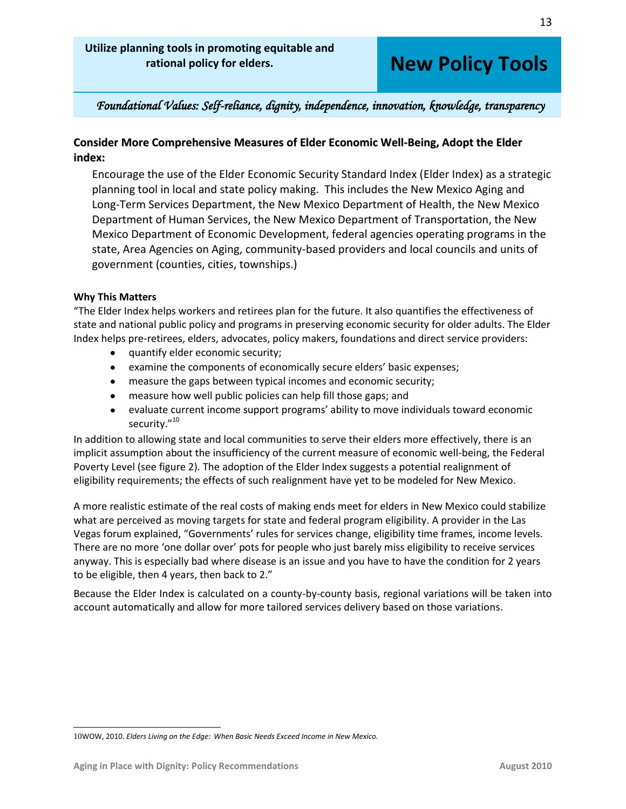# **New Policy Tools**

### *Foundational Values: Self-reliance, dignity, independence, innovation, knowledge, transparency*

### **Consider More Comprehensive Measures of Elder Economic Well-Being, Adopt the Elder index:**

Encourage the use of the Elder Economic Security Standard Index (Elder Index) as a strategic planning tool in local and state policy making. This includes the New Mexico Aging and Long-Term Services Department, the New Mexico Department of Health, the New Mexico Department of Human Services, the New Mexico Department of Transportation, the New Mexico Department of Economic Development, federal agencies operating programs in the state, Area Agencies on Aging, community-based providers and local councils and units of government (counties, cities, townships.)

### **Why This Matters**

"The Elder Index helps workers and retirees plan for the future. It also quantifies the effectiveness of state and national public policy and programs in preserving economic security for older adults. The Elder Index helps pre-retirees, elders, advocates, policy makers, foundations and direct service providers:

- quantify elder economic security;
- examine the components of economically secure elders' basic expenses;
- measure the gaps between typical incomes and economic security;
- measure how well public policies can help fill those gaps; and
- evaluate current income support programs' ability to move individuals toward economic security."<sup>10</sup>

In addition to allowing state and local communities to serve their elders more effectively, there is an implicit assumption about the insufficiency of the current measure of economic well-being, the Federal Poverty Level (see figure 2). The adoption of the Elder Index suggests a potential realignment of eligibility requirements; the effects of such realignment have yet to be modeled for New Mexico.

A more realistic estimate of the real costs of making ends meet for elders in New Mexico could stabilize what are perceived as moving targets for state and federal program eligibility. A provider in the Las Vegas forum explained, "Governments' rules for services change, eligibility time frames, income levels. There are no more 'one dollar over' pots for people who just barely miss eligibility to receive services anyway. This is especially bad where disease is an issue and you have to have the condition for 2 years to be eligible, then 4 years, then back to 2."

Because the Elder Index is calculated on a county-by-county basis, regional variations will be taken into account automatically and allow for more tailored services delivery based on those variations.

 $\overline{a}$ 10WOW, 2010. *Elders Living on the Edge: When Basic Needs Exceed Income in New Mexico.*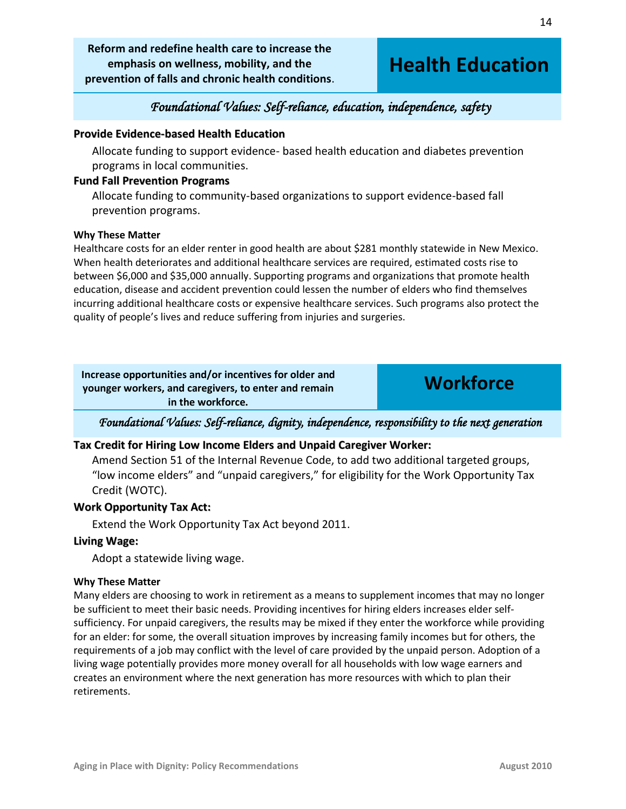**Reform and redefine health care to increase the emphasis on wellness, mobility, and the prevention of falls and chronic health conditions**.

# **Health Education**

# *Foundational Values: Self-reliance, education, independence, safety*

### **Provide Evidence-based Health Education**

Allocate funding to support evidence- based health education and diabetes prevention programs in local communities.

### **Fund Fall Prevention Programs**

Allocate funding to community-based organizations to support evidence-based fall prevention programs.

#### **Why These Matter**

Healthcare costs for an elder renter in good health are about \$281 monthly statewide in New Mexico. When health deteriorates and additional healthcare services are required, estimated costs rise to between \$6,000 and \$35,000 annually. Supporting programs and organizations that promote health education, disease and accident prevention could lessen the number of elders who find themselves incurring additional healthcare costs or expensive healthcare services. Such programs also protect the quality of people's lives and reduce suffering from injuries and surgeries.

**Increase opportunities and/or incentives for older and younger workers, and caregivers, to enter and remain in the workforce.**

**Workforce**

*Foundational Values: Self-reliance, dignity, independence, responsibility to the next generation* 

### **Tax Credit for Hiring Low Income Elders and Unpaid Caregiver Worker:**

Amend Section 51 of the Internal Revenue Code, to add two additional targeted groups, "low income elders" and "unpaid caregivers," for eligibility for the Work Opportunity Tax Credit (WOTC).

### **Work Opportunity Tax Act:**

Extend the Work Opportunity Tax Act beyond 2011.

#### **Living Wage:**

Adopt a statewide living wage.

#### **Why These Matter**

Many elders are choosing to work in retirement as a means to supplement incomes that may no longer be sufficient to meet their basic needs. Providing incentives for hiring elders increases elder selfsufficiency. For unpaid caregivers, the results may be mixed if they enter the workforce while providing for an elder: for some, the overall situation improves by increasing family incomes but for others, the requirements of a job may conflict with the level of care provided by the unpaid person. Adoption of a living wage potentially provides more money overall for all households with low wage earners and creates an environment where the next generation has more resources with which to plan their retirements.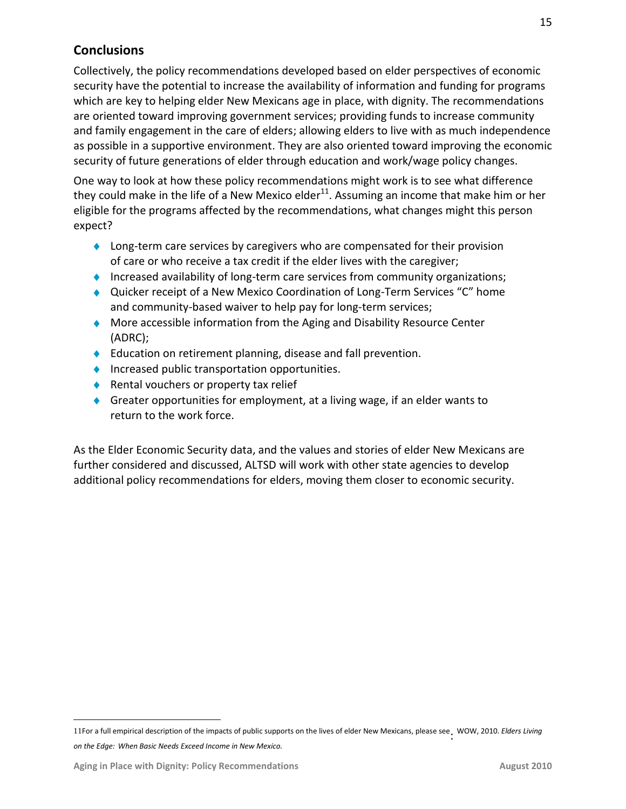# **Conclusions**

Collectively, the policy recommendations developed based on elder perspectives of economic security have the potential to increase the availability of information and funding for programs which are key to helping elder New Mexicans age in place, with dignity. The recommendations are oriented toward improving government services; providing funds to increase community and family engagement in the care of elders; allowing elders to live with as much independence as possible in a supportive environment. They are also oriented toward improving the economic security of future generations of elder through education and work/wage policy changes.

One way to look at how these policy recommendations might work is to see what difference they could make in the life of a New Mexico elder<sup>11</sup>. Assuming an income that make him or her eligible for the programs affected by the recommendations, what changes might this person expect?

- ◆ Long-term care services by caregivers who are compensated for their provision of care or who receive a tax credit if the elder lives with the caregiver;
- Increased availability of long-term care services from community organizations;
- ◆ Quicker receipt of a New Mexico Coordination of Long-Term Services "C" home and community-based waiver to help pay for long-term services;
- More accessible information from the Aging and Disability Resource Center (ADRC);
- ◆ Education on retirement planning, disease and fall prevention.
- $\blacklozenge$  Increased public transportation opportunities.
- ◆ Rental vouchers or property tax relief
- Greater opportunities for employment, at a living wage, if an elder wants to return to the work force.

As the Elder Economic Security data, and the values and stories of elder New Mexicans are further considered and discussed, ALTSD will work with other state agencies to develop additional policy recommendations for elders, moving them closer to economic security.

 $\overline{a}$ 

<sup>11</sup>For a full empirical description of the impacts of public supports on the lives of elder New Mexicans, please see : WOW, 2010. *Elders Living on the Edge: When Basic Needs Exceed Income in New Mexico.*